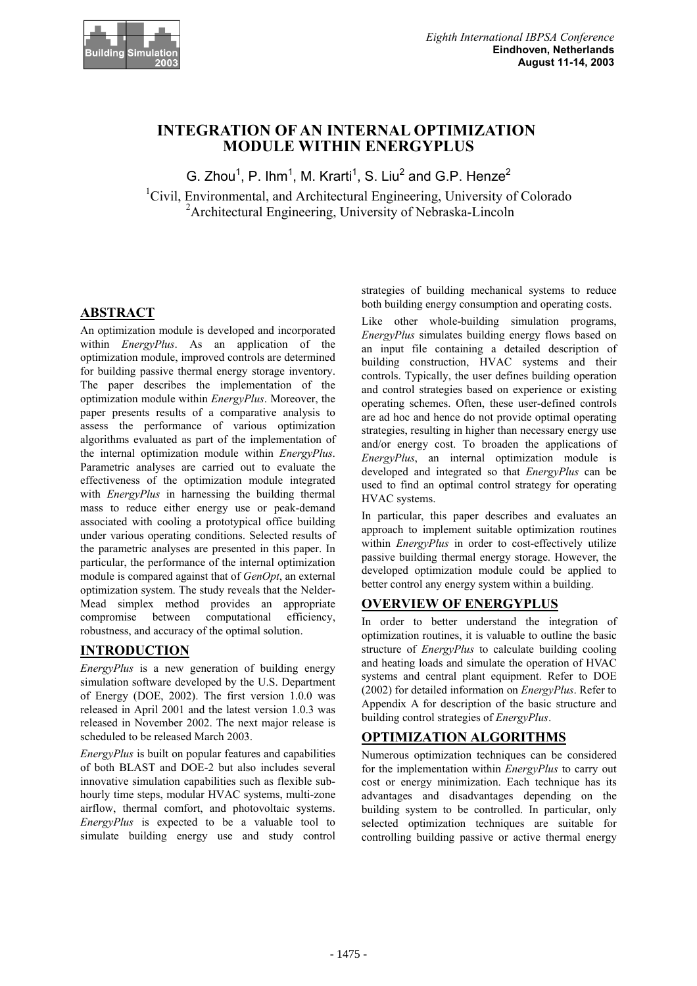

# **INTEGRATION OF AN INTERNAL OPTIMIZATION MODULE WITHIN ENERGYPLUS**

G. Zhou<sup>1</sup>, P. Ihm<sup>1</sup>, M. Krarti<sup>1</sup>, S. Liu<sup>2</sup> and G.P. Henze<sup>2</sup> <sup>1</sup>Civil, Environmental, and Architectural Engineering, University of Colorado 2 Architectural Engineering, University of Nebraska-Lincoln

# **ABSTRACT**

An optimization module is developed and incorporated within *EnergyPlus*. As an application of the optimization module, improved controls are determined for building passive thermal energy storage inventory. The paper describes the implementation of the optimization module within *EnergyPlus*. Moreover, the paper presents results of a comparative analysis to assess the performance of various optimization algorithms evaluated as part of the implementation of the internal optimization module within *EnergyPlus*. Parametric analyses are carried out to evaluate the effectiveness of the optimization module integrated with *EnergyPlus* in harnessing the building thermal mass to reduce either energy use or peak-demand associated with cooling a prototypical office building under various operating conditions. Selected results of the parametric analyses are presented in this paper. In particular, the performance of the internal optimization module is compared against that of *GenOpt*, an external optimization system. The study reveals that the Nelder-Mead simplex method provides an appropriate compromise between computational efficiency, robustness, and accuracy of the optimal solution.

# **INTRODUCTION**

*EnergyPlus* is a new generation of building energy simulation software developed by the U.S. Department of Energy (DOE, 2002). The first version 1.0.0 was released in April 2001 and the latest version 1.0.3 was released in November 2002. The next major release is scheduled to be released March 2003.

*EnergyPlus* is built on popular features and capabilities of both BLAST and DOE-2 but also includes several innovative simulation capabilities such as flexible subhourly time steps, modular HVAC systems, multi-zone airflow, thermal comfort, and photovoltaic systems. *EnergyPlus* is expected to be a valuable tool to simulate building energy use and study control

strategies of building mechanical systems to reduce both building energy consumption and operating costs.

Like other whole-building simulation programs, *EnergyPlus* simulates building energy flows based on an input file containing a detailed description of building construction, HVAC systems and their controls. Typically, the user defines building operation and control strategies based on experience or existing operating schemes. Often, these user-defined controls are ad hoc and hence do not provide optimal operating strategies, resulting in higher than necessary energy use and/or energy cost. To broaden the applications of *EnergyPlus*, an internal optimization module is developed and integrated so that *EnergyPlus* can be used to find an optimal control strategy for operating HVAC systems.

In particular, this paper describes and evaluates an approach to implement suitable optimization routines within *EnergyPlus* in order to cost-effectively utilize passive building thermal energy storage. However, the developed optimization module could be applied to better control any energy system within a building.

## **OVERVIEW OF ENERGYPLUS**

In order to better understand the integration of optimization routines, it is valuable to outline the basic structure of *EnergyPlus* to calculate building cooling and heating loads and simulate the operation of HVAC systems and central plant equipment. Refer to DOE (2002) for detailed information on *EnergyPlus*. Refer to Appendix A for description of the basic structure and building control strategies of *EnergyPlus*.

# **OPTIMIZATION ALGORITHMS**

Numerous optimization techniques can be considered for the implementation within *EnergyPlus* to carry out cost or energy minimization. Each technique has its advantages and disadvantages depending on the building system to be controlled. In particular, only selected optimization techniques are suitable for controlling building passive or active thermal energy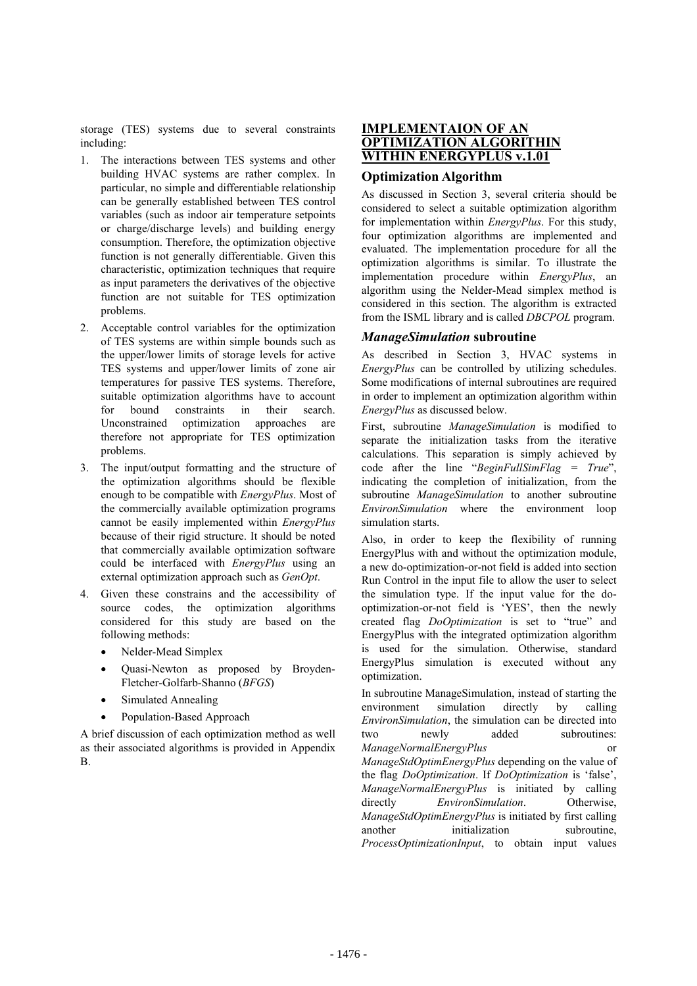storage (TES) systems due to several constraints including:

- 1. The interactions between TES systems and other building HVAC systems are rather complex. In particular, no simple and differentiable relationship can be generally established between TES control variables (such as indoor air temperature setpoints or charge/discharge levels) and building energy consumption. Therefore, the optimization objective function is not generally differentiable. Given this characteristic, optimization techniques that require as input parameters the derivatives of the objective function are not suitable for TES optimization problems.
- 2. Acceptable control variables for the optimization of TES systems are within simple bounds such as the upper/lower limits of storage levels for active TES systems and upper/lower limits of zone air temperatures for passive TES systems. Therefore, suitable optimization algorithms have to account for bound constraints in their search. Unconstrained optimization approaches are therefore not appropriate for TES optimization problems.
- 3. The input/output formatting and the structure of the optimization algorithms should be flexible enough to be compatible with *EnergyPlus*. Most of the commercially available optimization programs cannot be easily implemented within *EnergyPlus* because of their rigid structure. It should be noted that commercially available optimization software could be interfaced with *EnergyPlus* using an external optimization approach such as *GenOpt*.
- 4. Given these constrains and the accessibility of source codes, the optimization algorithms considered for this study are based on the following methods:
	- Nelder-Mead Simplex
	- Quasi-Newton as proposed by Broyden-Fletcher-Golfarb-Shanno (*BFGS*)
	- Simulated Annealing
	- Population-Based Approach

A brief discussion of each optimization method as well as their associated algorithms is provided in Appendix B.

### **IMPLEMENTAION OF AN OPTIMIZATION ALGORITHIN WITHIN ENERGYPLUS v.1.01**

#### **Optimization Algorithm**

As discussed in Section 3, several criteria should be considered to select a suitable optimization algorithm for implementation within *EnergyPlus*. For this study, four optimization algorithms are implemented and evaluated. The implementation procedure for all the optimization algorithms is similar. To illustrate the implementation procedure within *EnergyPlus*, an algorithm using the Nelder-Mead simplex method is considered in this section. The algorithm is extracted from the ISML library and is called *DBCPOL* program.

#### *ManageSimulation* **subroutine**

As described in Section 3, HVAC systems in *EnergyPlus* can be controlled by utilizing schedules. Some modifications of internal subroutines are required in order to implement an optimization algorithm within *EnergyPlus* as discussed below.

First, subroutine *ManageSimulation* is modified to separate the initialization tasks from the iterative calculations. This separation is simply achieved by code after the line "*BeginFullSimFlag = True*", indicating the completion of initialization, from the subroutine *ManageSimulation* to another subroutine *EnvironSimulation* where the environment loop simulation starts.

Also, in order to keep the flexibility of running EnergyPlus with and without the optimization module, a new do-optimization-or-not field is added into section Run Control in the input file to allow the user to select the simulation type. If the input value for the dooptimization-or-not field is 'YES', then the newly created flag *DoOptimization* is set to "true" and EnergyPlus with the integrated optimization algorithm is used for the simulation. Otherwise, standard EnergyPlus simulation is executed without any optimization.

In subroutine ManageSimulation, instead of starting the environment simulation directly by calling *EnvironSimulation*, the simulation can be directed into two newly added subroutines: *ManageNormalEnergyPlus* or *ManageStdOptimEnergyPlus* depending on the value of the flag *DoOptimization*. If *DoOptimization* is 'false', *ManageNormalEnergyPlus* is initiated by calling directly *EnvironSimulation*. Otherwise, *ManageStdOptimEnergyPlus* is initiated by first calling another initialization subroutine *ProcessOptimizationInput*, to obtain input values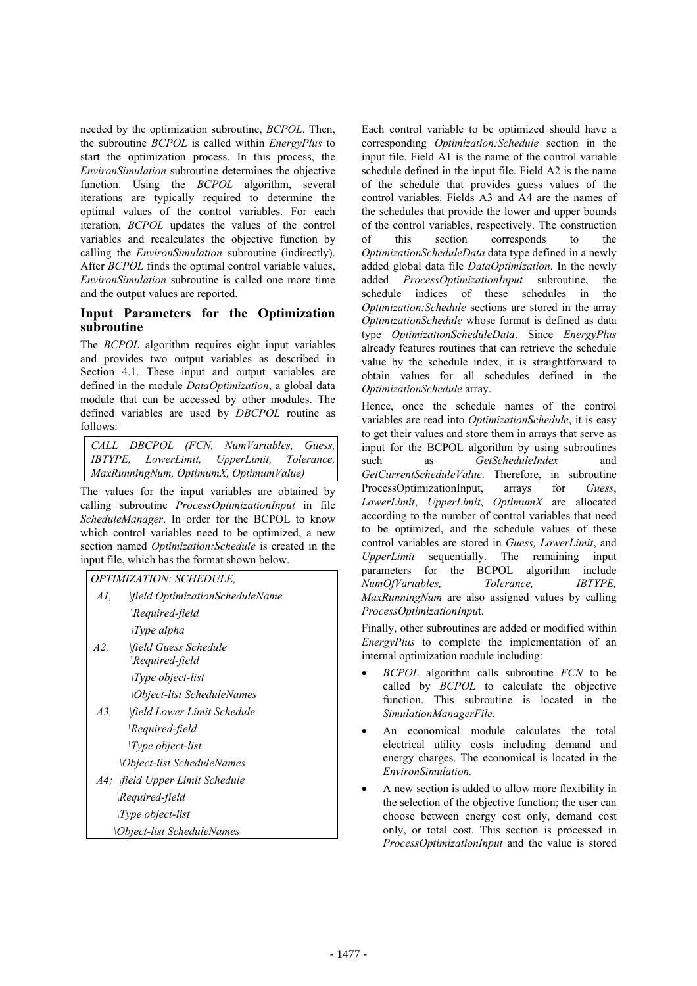needed by the optimization subroutine, *BCPOL*. Then, the subroutine *BCPOL* is called within *EnergyPlus* to start the optimization process. In this process, the *EnvironSimulation* subroutine determines the objective function. Using the *BCPOL* algorithm, several iterations are typically required to determine the optimal values of the control variables. For each iteration, *BCPOL* updates the values of the control variables and recalculates the objective function by calling the *EnvironSimulation* subroutine (indirectly). After *BCPOL* finds the optimal control variable values, *EnvironSimulation* subroutine is called one more time and the output values are reported.

## **Input Parameters for the Optimization subroutine**

The *BCPOL* algorithm requires eight input variables and provides two output variables as described in Section 4.1. These input and output variables are defined in the module *DataOptimization*, a global data module that can be accessed by other modules. The defined variables are used by *DBCPOL* routine as follows:

*CALL DBCPOL (FCN, NumVariables, Guess, IBTYPE, LowerLimit, UpperLimit, Tolerance, MaxRunningNum, OptimumX, OptimumValue)* 

The values for the input variables are obtained by calling subroutine *ProcessOptimizationInput* in file *ScheduleManager*. In order for the BCPOL to know which control variables need to be optimized, a new section named *Optimization:Schedule* is created in the input file, which has the format shown below.



Each control variable to be optimized should have a corresponding *Optimization:Schedule* section in the input file. Field A1 is the name of the control variable schedule defined in the input file. Field A2 is the name of the schedule that provides guess values of the control variables. Fields A3 and A4 are the names of the schedules that provide the lower and upper bounds of the control variables, respectively. The construction of this section corresponds to the *OptimizationScheduleData* data type defined in a newly added global data file *DataOptimization*. In the newly added *ProcessOptimizationInput* subroutine, the schedule indices of these schedules in the *Optimization:Schedule* sections are stored in the array *OptimizationSchedule* whose format is defined as data type *OptimizationScheduleData*. Since *EnergyPlus* already features routines that can retrieve the schedule value by the schedule index, it is straightforward to obtain values for all schedules defined in the *OptimizationSchedule* array.

Hence, once the schedule names of the control variables are read into *OptimizationSchedule*, it is easy to get their values and store them in arrays that serve as input for the BCPOL algorithm by using subroutines such as *GetScheduleIndex* and *GetCurrentScheduleValue*. Therefore, in subroutine ProcessOptimizationInput, arrays for *Guess*, *LowerLimit*, *UpperLimit*, *OptimumX* are allocated according to the number of control variables that need to be optimized, and the schedule values of these control variables are stored in *Guess, LowerLimit*, and *UpperLimit* sequentially. The remaining input parameters for the BCPOL algorithm include *NumOfVariables, Tolerance, IBTYPE, MaxRunningNum* are also assigned values by calling *ProcessOptimizationInpu*t.

Finally, other subroutines are added or modified within *EnergyPlus* to complete the implementation of an internal optimization module including:

- x *BCPOL* algorithm calls subroutine *FCN* to be called by *BCPOL* to calculate the objective function. This subroutine is located in the *SimulationManagerFile*.
- An economical module calculates the total electrical utility costs including demand and energy charges. The economical is located in the *EnvironSimulation.*
- x A new section is added to allow more flexibility in the selection of the objective function; the user can choose between energy cost only, demand cost only, or total cost. This section is processed in *ProcessOptimizationInput* and the value is stored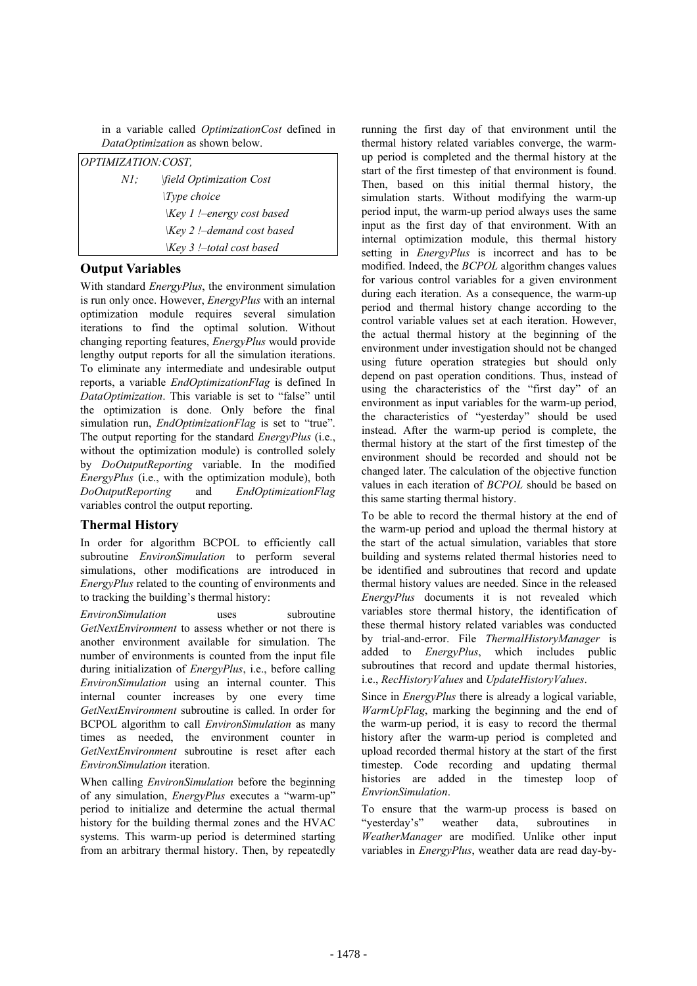in a variable called *OptimizationCost* defined in *DataOptimization* as shown below.

| OPTIMIZATION: COST, |                                                |  |  |  |  |  |  |  |  |
|---------------------|------------------------------------------------|--|--|--|--|--|--|--|--|
| NI:                 | <i>field Optimization Cost</i>                 |  |  |  |  |  |  |  |  |
|                     | $\langle Type \ choice$                        |  |  |  |  |  |  |  |  |
|                     | $\langle Key \, 1 \rangle$ !-energy cost based |  |  |  |  |  |  |  |  |
|                     | $\langle Key 2 \rangle$ !-demand cost based    |  |  |  |  |  |  |  |  |
|                     | $Key 3$ !-total cost based                     |  |  |  |  |  |  |  |  |

## **Output Variables**

With standard *EnergyPlus*, the environment simulation is run only once. However, *EnergyPlus* with an internal optimization module requires several simulation iterations to find the optimal solution. Without changing reporting features, *EnergyPlus* would provide lengthy output reports for all the simulation iterations. To eliminate any intermediate and undesirable output reports, a variable *EndOptimizationFlag* is defined In *DataOptimization*. This variable is set to "false" until the optimization is done. Only before the final simulation run, *EndOptimizationFlag* is set to "true". The output reporting for the standard *EnergyPlus* (i.e., without the optimization module) is controlled solely by *DoOutputReporting* variable. In the modified *EnergyPlus* (i.e., with the optimization module), both *DoOutputReporting* and *EndOptimizationFlag* variables control the output reporting.

### **Thermal History**

In order for algorithm BCPOL to efficiently call subroutine *EnvironSimulation* to perform several simulations, other modifications are introduced in *EnergyPlus* related to the counting of environments and to tracking the building's thermal history:

*EnvironSimulation* uses subroutine *GetNextEnvironment* to assess whether or not there is another environment available for simulation. The number of environments is counted from the input file during initialization of *EnergyPlus*, i.e., before calling *EnvironSimulation* using an internal counter. This internal counter increases by one every time *GetNextEnvironment* subroutine is called. In order for BCPOL algorithm to call *EnvironSimulation* as many times as needed, the environment counter in *GetNextEnvironment* subroutine is reset after each *EnvironSimulation* iteration.

When calling *EnvironSimulation* before the beginning of any simulation, *EnergyPlus* executes a "warm-up" period to initialize and determine the actual thermal history for the building thermal zones and the HVAC systems. This warm-up period is determined starting from an arbitrary thermal history. Then, by repeatedly running the first day of that environment until the thermal history related variables converge, the warmup period is completed and the thermal history at the start of the first timestep of that environment is found. Then, based on this initial thermal history, the simulation starts. Without modifying the warm-up period input, the warm-up period always uses the same input as the first day of that environment. With an internal optimization module, this thermal history setting in *EnergyPlus* is incorrect and has to be modified. Indeed, the *BCPOL* algorithm changes values for various control variables for a given environment during each iteration. As a consequence, the warm-up period and thermal history change according to the control variable values set at each iteration. However, the actual thermal history at the beginning of the environment under investigation should not be changed using future operation strategies but should only depend on past operation conditions. Thus, instead of using the characteristics of the "first day" of an environment as input variables for the warm-up period, the characteristics of "yesterday" should be used instead. After the warm-up period is complete, the thermal history at the start of the first timestep of the environment should be recorded and should not be changed later. The calculation of the objective function values in each iteration of *BCPOL* should be based on this same starting thermal history.

To be able to record the thermal history at the end of the warm-up period and upload the thermal history at the start of the actual simulation, variables that store building and systems related thermal histories need to be identified and subroutines that record and update thermal history values are needed. Since in the released *EnergyPlus* documents it is not revealed which variables store thermal history, the identification of these thermal history related variables was conducted by trial-and-error. File *ThermalHistoryManager* is added to *EnergyPlus*, which includes public subroutines that record and update thermal histories, i.e., *RecHistoryValues* and *UpdateHistoryValues*.

Since in *EnergyPlus* there is already a logical variable, *WarmUpFlag*, marking the beginning and the end of the warm-up period, it is easy to record the thermal history after the warm-up period is completed and upload recorded thermal history at the start of the first timestep. Code recording and updating thermal histories are added in the timestep loop of *EnvrionSimulation*.

To ensure that the warm-up process is based on "yesterday's" weather data, subroutines in *WeatherManager* are modified. Unlike other input variables in *EnergyPlus*, weather data are read day-by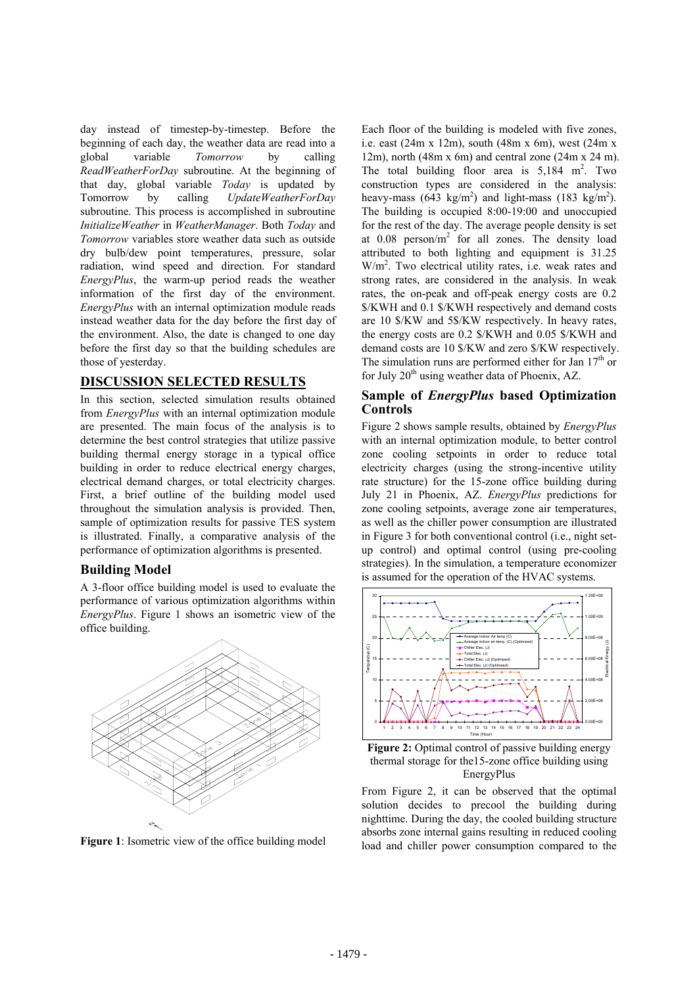day instead of timestep-by-timestep. Before the beginning of each day, the weather data are read into a global variable *Tomorrow* by calling *ReadWeatherForDay* subroutine. At the beginning of that day, global variable *Today* is updated by Tomorrow by calling *UpdateWeatherForDay* subroutine. This process is accomplished in subroutine *InitializeWeather* in *WeatherManager*. Both *Today* and *Tomorrow* variables store weather data such as outside dry bulb/dew point temperatures, pressure, solar radiation, wind speed and direction. For standard *EnergyPlus*, the warm-up period reads the weather information of the first day of the environment. *EnergyPlus* with an internal optimization module reads instead weather data for the day before the first day of the environment. Also, the date is changed to one day before the first day so that the building schedules are those of yesterday.

## **DISCUSSION SELECTED RESULTS**

In this section, selected simulation results obtained from *EnergyPlus* with an internal optimization module are presented. The main focus of the analysis is to determine the best control strategies that utilize passive building thermal energy storage in a typical office building in order to reduce electrical energy charges, electrical demand charges, or total electricity charges. First, a brief outline of the building model used throughout the simulation analysis is provided. Then, sample of optimization results for passive TES system is illustrated. Finally, a comparative analysis of the performance of optimization algorithms is presented.

#### **Building Model**

A 3-floor office building model is used to evaluate the performance of various optimization algorithms within *EnergyPlus*. Figure 1 shows an isometric view of the office building.



**Figure 1**: Isometric view of the office building model

Each floor of the building is modeled with five zones, i.e. east (24m x 12m), south (48m x 6m), west (24m x 12m), north (48m x 6m) and central zone (24m x 24 m). The total building floor area is  $5,184 \text{ m}^2$ . Two construction types are considered in the analysis: heavy-mass (643 kg/m<sup>2</sup>) and light-mass (183 kg/m<sup>2</sup>). The building is occupied 8:00-19:00 and unoccupied for the rest of the day. The average people density is set at  $0.08$  person/m<sup>2</sup> for all zones. The density load attributed to both lighting and equipment is 31.25 W/m<sup>2</sup>. Two electrical utility rates, i.e. weak rates and strong rates, are considered in the analysis. In weak rates, the on-peak and off-peak energy costs are 0.2 \$/KWH and 0.1 \$/KWH respectively and demand costs are 10 \$/KW and 5\$/KW respectively. In heavy rates, the energy costs are 0.2 \$/KWH and 0.05 \$/KWH and demand costs are 10 \$/KW and zero \$/KW respectively. The simulation runs are performed either for Jan  $17<sup>th</sup>$  or for July  $20<sup>th</sup>$  using weather data of Phoenix, AZ.

#### **Sample of** *EnergyPlus* **based Optimization Controls**

Figure 2 shows sample results, obtained by *EnergyPlus* with an internal optimization module, to better control zone cooling setpoints in order to reduce total electricity charges (using the strong-incentive utility rate structure) for the 15-zone office building during July 21 in Phoenix, AZ. *EnergyPlus* predictions for zone cooling setpoints, average zone air temperatures, as well as the chiller power consumption are illustrated in Figure 3 for both conventional control (i.e., night setup control) and optimal control (using pre-cooling strategies). In the simulation, a temperature economizer is assumed for the operation of the HVAC systems.



**Figure 2:** Optimal control of passive building energy thermal storage for the15-zone office building using EnergyPlus

From Figure 2, it can be observed that the optimal solution decides to precool the building during nighttime. During the day, the cooled building structure absorbs zone internal gains resulting in reduced cooling load and chiller power consumption compared to the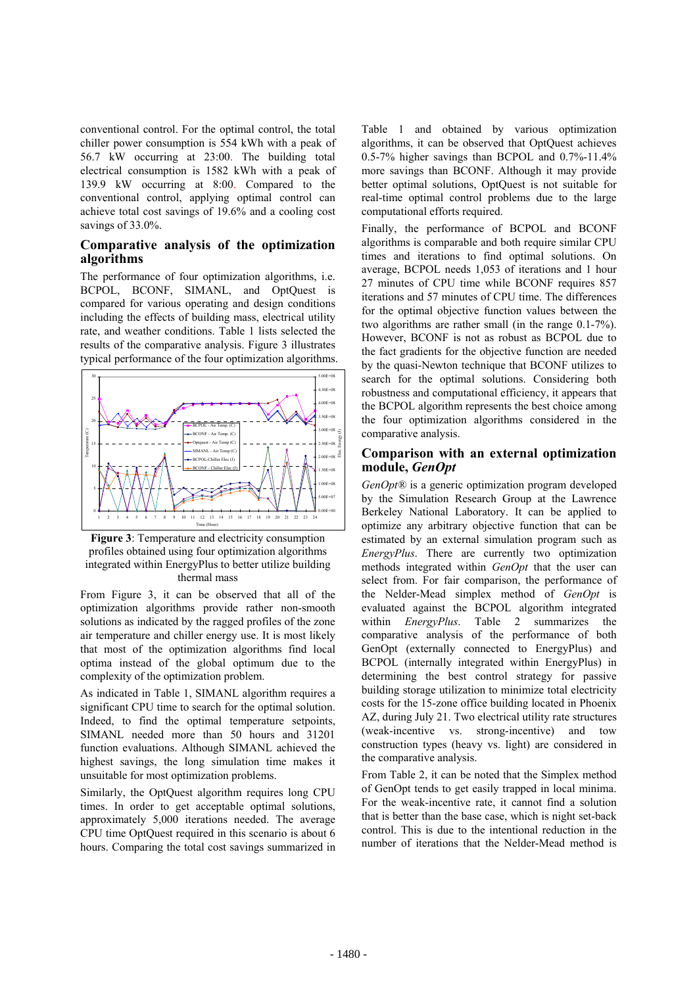conventional control. For the optimal control, the total chiller power consumption is 554 kWh with a peak of 56.7 kW occurring at 23:00. The building total electrical consumption is 1582 kWh with a peak of 139.9 kW occurring at 8:00. Compared to the conventional control, applying optimal control can achieve total cost savings of 19.6% and a cooling cost savings of 33.0%.

#### **Comparative analysis of the optimization algorithms**

The performance of four optimization algorithms, i.e. BCPOL, BCONF, SIMANL, and OptQuest is compared for various operating and design conditions including the effects of building mass, electrical utility rate, and weather conditions. Table 1 lists selected the results of the comparative analysis. Figure 3 illustrates typical performance of the four optimization algorithms.



**Figure 3**: Temperature and electricity consumption profiles obtained using four optimization algorithms integrated within EnergyPlus to better utilize building thermal mass

From Figure 3, it can be observed that all of the optimization algorithms provide rather non-smooth solutions as indicated by the ragged profiles of the zone air temperature and chiller energy use. It is most likely that most of the optimization algorithms find local optima instead of the global optimum due to the complexity of the optimization problem.

As indicated in Table 1, SIMANL algorithm requires a significant CPU time to search for the optimal solution. Indeed, to find the optimal temperature setpoints, SIMANL needed more than 50 hours and 31201 function evaluations. Although SIMANL achieved the highest savings, the long simulation time makes it unsuitable for most optimization problems.

Similarly, the OptQuest algorithm requires long CPU times. In order to get acceptable optimal solutions, approximately 5,000 iterations needed. The average CPU time OptQuest required in this scenario is about 6 hours. Comparing the total cost savings summarized in Table 1 and obtained by various optimization algorithms, it can be observed that OptQuest achieves 0.5-7% higher savings than BCPOL and 0.7%-11.4% more savings than BCONF. Although it may provide better optimal solutions, OptQuest is not suitable for real-time optimal control problems due to the large computational efforts required.

Finally, the performance of BCPOL and BCONF algorithms is comparable and both require similar CPU times and iterations to find optimal solutions. On average, BCPOL needs 1,053 of iterations and 1 hour 27 minutes of CPU time while BCONF requires 857 iterations and 57 minutes of CPU time. The differences for the optimal objective function values between the two algorithms are rather small (in the range 0.1-7%). However, BCONF is not as robust as BCPOL due to the fact gradients for the objective function are needed by the quasi-Newton technique that BCONF utilizes to search for the optimal solutions. Considering both robustness and computational efficiency, it appears that the BCPOL algorithm represents the best choice among the four optimization algorithms considered in the comparative analysis.

#### **Comparison with an external optimization module,** *GenOpt*

*GenOpt®* is a generic optimization program developed by the Simulation Research Group at the Lawrence Berkeley National Laboratory. It can be applied to optimize any arbitrary objective function that can be estimated by an external simulation program such as *EnergyPlus*. There are currently two optimization methods integrated within *GenOpt* that the user can select from. For fair comparison, the performance of the Nelder-Mead simplex method of *GenOpt* is evaluated against the BCPOL algorithm integrated within *EnergyPlus*. Table 2 summarizes the comparative analysis of the performance of both GenOpt (externally connected to EnergyPlus) and BCPOL (internally integrated within EnergyPlus) in determining the best control strategy for passive building storage utilization to minimize total electricity costs for the 15-zone office building located in Phoenix AZ, during July 21. Two electrical utility rate structures (weak-incentive vs. strong-incentive) and tow construction types (heavy vs. light) are considered in the comparative analysis.

From Table 2, it can be noted that the Simplex method of GenOpt tends to get easily trapped in local minima. For the weak-incentive rate, it cannot find a solution that is better than the base case, which is night set-back control. This is due to the intentional reduction in the number of iterations that the Nelder-Mead method is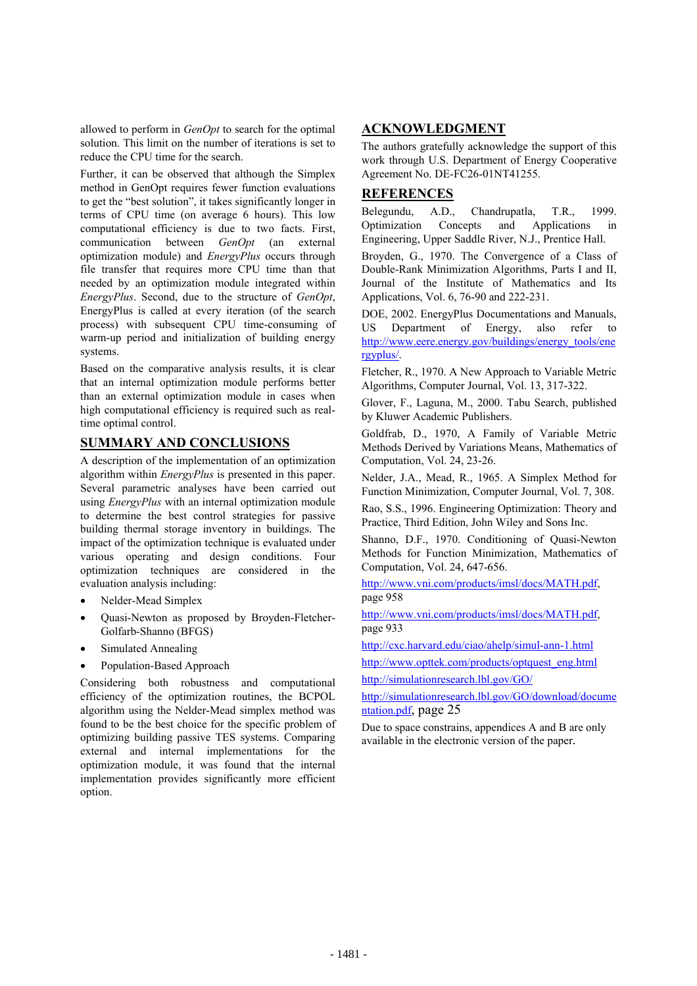allowed to perform in *GenOpt* to search for the optimal solution. This limit on the number of iterations is set to reduce the CPU time for the search.

Further, it can be observed that although the Simplex method in GenOpt requires fewer function evaluations to get the "best solution", it takes significantly longer in terms of CPU time (on average 6 hours). This low computational efficiency is due to two facts. First, communication between *GenOpt* (an external optimization module) and *EnergyPlus* occurs through file transfer that requires more CPU time than that needed by an optimization module integrated within *EnergyPlus*. Second, due to the structure of *GenOpt*, EnergyPlus is called at every iteration (of the search process) with subsequent CPU time-consuming of warm-up period and initialization of building energy systems.

Based on the comparative analysis results, it is clear that an internal optimization module performs better than an external optimization module in cases when high computational efficiency is required such as realtime optimal control.

## **SUMMARY AND CONCLUSIONS**

A description of the implementation of an optimization algorithm within *EnergyPlus* is presented in this paper. Several parametric analyses have been carried out using *EnergyPlus* with an internal optimization module to determine the best control strategies for passive building thermal storage inventory in buildings. The impact of the optimization technique is evaluated under various operating and design conditions. Four optimization techniques are considered in the evaluation analysis including:

- x Nelder-Mead Simplex
- Quasi-Newton as proposed by Broyden-Fletcher-Golfarb-Shanno (BFGS)
- Simulated Annealing
- Population-Based Approach

Considering both robustness and computational efficiency of the optimization routines, the BCPOL algorithm using the Nelder-Mead simplex method was found to be the best choice for the specific problem of optimizing building passive TES systems. Comparing external and internal implementations for the optimization module, it was found that the internal implementation provides significantly more efficient option.

## **ACKNOWLEDGMENT**

The authors gratefully acknowledge the support of this work through U.S. Department of Energy Cooperative Agreement No. DE-FC26-01NT41255.

### **REFERENCES**

Belegundu, A.D., Chandrupatla, T.R., 1999. Optimization Concepts and Applications in Engineering, Upper Saddle River, N.J., Prentice Hall.

Broyden, G., 1970. The Convergence of a Class of Double-Rank Minimization Algorithms, Parts I and II, Journal of the Institute of Mathematics and Its Applications, Vol. 6, 76-90 and 222-231.

DOE, 2002. EnergyPlus Documentations and Manuals, US Department of Energy, also refer to http://www.eere.energy.gov/buildings/energy\_tools/ene rgyplus/.

Fletcher, R., 1970. A New Approach to Variable Metric Algorithms, Computer Journal, Vol. 13, 317-322.

Glover, F., Laguna, M., 2000. Tabu Search, published by Kluwer Academic Publishers.

Goldfrab, D., 1970, A Family of Variable Metric Methods Derived by Variations Means, Mathematics of Computation, Vol. 24, 23-26.

Nelder, J.A., Mead, R., 1965. A Simplex Method for Function Minimization, Computer Journal, Vol. 7, 308.

Rao, S.S., 1996. Engineering Optimization: Theory and Practice, Third Edition, John Wiley and Sons Inc.

Shanno, D.F., 1970. Conditioning of Quasi-Newton Methods for Function Minimization, Mathematics of Computation, Vol. 24, 647-656.

http://www.vni.com/products/imsl/docs/MATH.pdf, page 958

http://www.vni.com/products/imsl/docs/MATH.pdf, page 933

http://cxc.harvard.edu/ciao/ahelp/simul-ann-1.html

http://www.opttek.com/products/optquest\_eng.html

http://simulationresearch.lbl.gov/GO/

http://simulationresearch.lbl.gov/GO/download/docume ntation.pdf, page 25

Due to space constrains, appendices A and B are only available in the electronic version of the paper.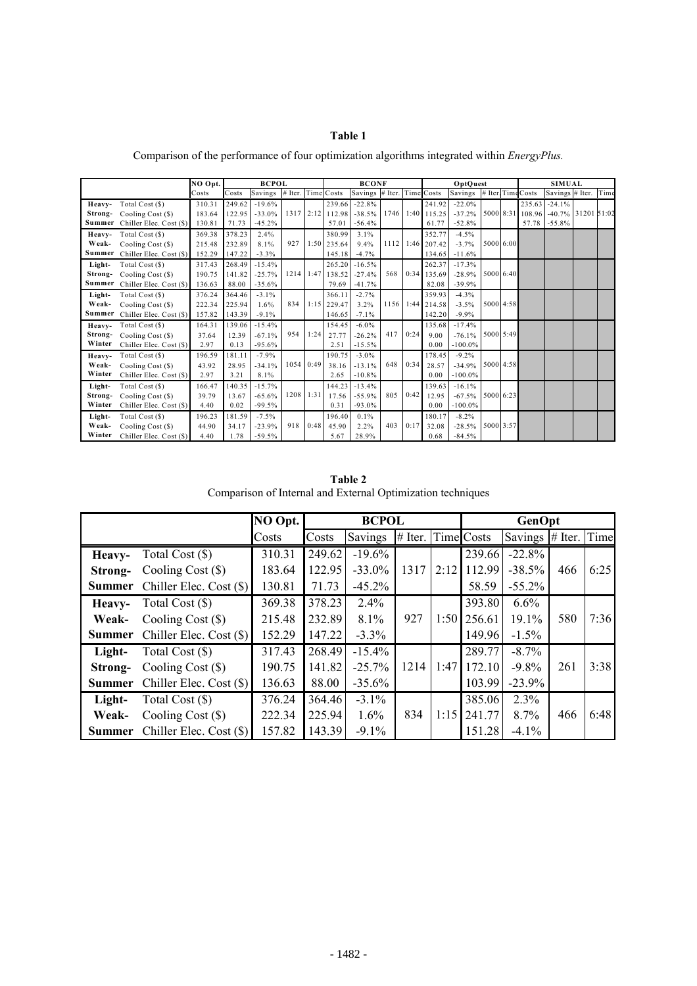## **Table 1**

|         |                                | NO Opt. | <b>BCPOL</b> |          |                    |           | <b>BCONF</b>     |                            |      |      | OptQuest         |            |           |  | <b>SIMUAL</b>     |                                     |  |      |
|---------|--------------------------------|---------|--------------|----------|--------------------|-----------|------------------|----------------------------|------|------|------------------|------------|-----------|--|-------------------|-------------------------------------|--|------|
|         |                                | Costs   | Costs        | Savings  | # Iter. Time Costs |           |                  | Savings # Iter. Time Costs |      |      |                  | Savings    |           |  | # Iter Time Costs | Savings # Iter.                     |  | Time |
|         | Heavy- Total Cost (\$)         | 310.31  | 249.62       | $-19.6%$ |                    |           | 239.66           | $-22.8%$                   |      |      | 241.92           | $-22.0%$   |           |  |                   | 235.63 -24.1%                       |  |      |
|         | Strong- Cooling Cost (\$)      | 183.64  | 122.95       | $-33.0%$ |                    |           | 1317 2:12 112.98 | $-38.5%$                   |      |      | 1746 1:40 115.25 | $-37.2%$   |           |  |                   | 5000 8:31 108.96 -40.7% 31201 51:02 |  |      |
|         | Summer Chiller Elec. Cost (\$) | 130.81  | 71.73        | $-45.2%$ |                    |           | 57.01            | $-56.4%$                   |      |      | 61.77            | $-52.8%$   |           |  |                   | 57.78 -55.8%                        |  |      |
| Heavy-  | Total Cost (\$)                | 369.38  | 378.23       | 2.4%     |                    |           | 380.99           | 3.1%                       |      |      | 352.77           | $-4.5%$    |           |  |                   |                                     |  |      |
| Weak-   | Cooling Cost (\$)              | 215.48  | 232.89       | 8.1%     | 927                |           | 1:50 235.64      | 9.4%                       | 1112 |      | $1:46$ 207.42    | $-3.7%$    | 5000 6:00 |  |                   |                                     |  |      |
| Summer  | Chiller Elec. Cost (\$)        | 152.29  | 147.22       | $-3.3%$  |                    |           | 145.18           | $-4.7%$                    |      |      | 134.65           | $-11.6%$   |           |  |                   |                                     |  |      |
| Light-  | Total Cost (\$)                | 317.43  | 268.49       | $-15.4%$ |                    |           | 265.20           | $-16.5%$                   |      |      | 262.37           | $-17.3%$   |           |  |                   |                                     |  |      |
| Strong- | Cooling Cost (\$)              | 190.75  | 141.82       | $-25.7%$ |                    | 1214 1:47 | 138.52           | $-27.4%$                   | 568  |      | 0:34 135.69      | $-28.9%$   | 5000 6:40 |  |                   |                                     |  |      |
| Summer  | Chiller Elec. Cost (\$)        | 136.63  | 88.00        | $-35.6%$ |                    |           | 79.69            | $-41.7%$                   |      |      | 82.08            | $-39.9%$   |           |  |                   |                                     |  |      |
| Light-  | Total Cost (\$)                | 376.24  | 364.46       | $-3.1%$  |                    |           | 366.11           | $-2.7%$                    |      |      | 359.93           | $-4.3%$    |           |  |                   |                                     |  |      |
| Weak-   | Cooling Cost (\$)              | 222.34  | 225.94       | 1.6%     | 834                |           | $1:15$ 229.47    | 3.2%                       |      |      | 1156 1:44 214.58 | $-3.5%$    | 5000 4:58 |  |                   |                                     |  |      |
| Summer  | Chiller Elec. Cost (\$)        | 157.82  | 143.39       | $-9.1%$  |                    |           | 146.65           | $-7.1%$                    |      |      | 142.20           | $-9.9\%$   |           |  |                   |                                     |  |      |
| Heavy-  | Total Cost (\$)                | 164.31  | 139.06       | $-15.4%$ |                    |           | 154.45           | $-6.0\%$                   |      |      | 135.68           | $-17.4%$   |           |  |                   |                                     |  |      |
| Strong- | Cooling Cost (\$)              | 37.64   | 12.39        | $-67.1%$ | 954                | 1:24      | 27.77            | $-26.2%$                   | 417  | 0:24 | 9.00             | $-76.1%$   | 5000 5:49 |  |                   |                                     |  |      |
| Winter  | Chiller Elec. Cost (\$)        | 2.97    | 0.13         | $-95.6%$ |                    |           | 2.51             | $-15.5%$                   |      |      | 0.00             | $-100.0\%$ |           |  |                   |                                     |  |      |
| Heavy-  | Total Cost (\$)                | 196.59  | 181.11       | $-7.9%$  |                    |           | 190.75           | $-3.0%$                    |      |      | 178.45           | $-9.2%$    |           |  |                   |                                     |  |      |
| Weak-   | Cooling Cost (\$)              | 43.92   | 28.95        | $-34.1%$ |                    | 1054 0:49 | 38.16            | $-13.1%$                   | 648  | 0:34 | 28.57            | $-34.9%$   | 5000 4:58 |  |                   |                                     |  |      |
| Winter  | Chiller Elec. Cost (\$)        | 2.97    | 3.21         | 8.1%     |                    |           | 2.65             | $-10.8\%$                  |      |      | 0.00             | $-100.0\%$ |           |  |                   |                                     |  |      |
| Light-  | Total Cost (\$)                | 166.47  | 140.35       | $-15.7%$ |                    |           | 144.23           | $-13.4%$                   |      |      | 139.63           | $-16.1%$   |           |  |                   |                                     |  |      |
| Strong- | Cooling Cost (\$)              | 39.79   | 13.67        | $-65.6%$ |                    | 1208 1:31 | 17.56            | $-55.9%$                   | 805  | 0:42 | 12.95            | $-67.5%$   | 5000 6:23 |  |                   |                                     |  |      |
| Winter  | Chiller Elec. Cost (\$)        | 4.40    | 0.02         | $-99.5%$ |                    |           | 0.31             | $-93.0\%$                  |      |      | 0.00             | $-100.0\%$ |           |  |                   |                                     |  |      |
| Light-  | Total Cost (\$)                | 196.23  | 181.59       | $-7.5%$  |                    |           | 196.40           | 0.1%                       |      |      | 180.17           | $-8.2%$    |           |  |                   |                                     |  |      |
| Weak-   | Cooling Cost (\$)              | 44.90   | 34.17        | $-23.9%$ | 918                | 0:48      | 45.90            | 2.2%                       | 403  | 0:17 | 32.08            | $-28.5%$   | 5000 3:57 |  |                   |                                     |  |      |
| Winter  | Chiller Elec. Cost (\$)        | 4.40    | 1.78         | $-59.5%$ |                    |           | 5.67             | 28.9%                      |      |      | 0.68             | $-84.5%$   |           |  |                   |                                     |  |      |

Comparison of the performance of four optimization algorithms integrated within *EnergyPlus.*

**Table 2** Comparison of Internal and External Optimization techniques

|               |                           | NO Opt. |        | <b>BCPOL</b> |                      | GenOpt |        |                 |     |      |  |
|---------------|---------------------------|---------|--------|--------------|----------------------|--------|--------|-----------------|-----|------|--|
|               |                           | Costs   | Costs  | Savings      | $#$ Iter. Time Costs |        |        | Savings # Iter. |     | Time |  |
| Heavy-        | Total Cost $(\$)$         | 310.31  | 249.62 | $-19.6%$     |                      |        | 239.66 | $-22.8%$        |     |      |  |
| Strong-       | Cooling Cost $(\$)$       | 183.64  | 122.95 | $-33.0%$     | 1317                 | 2:12   | 112.99 | $-38.5%$        | 466 | 6:25 |  |
| <b>Summer</b> | Chiller Elec. Cost $(\$)$ | 130.81  | 71.73  | $-45.2\%$    |                      |        | 58.59  | $-55.2\%$       |     |      |  |
| Heavy-        | Total Cost (\$)           | 369.38  | 378.23 | 2.4%         |                      |        | 393.80 | 6.6%            |     |      |  |
| Weak-         | Cooling Cost $(\$)$       | 215.48  | 232.89 | 8.1%         | 927                  | 1:50   | 256.61 | 19.1%           | 580 | 7:36 |  |
| <b>Summer</b> | Chiller Elec. Cost (\$)   | 152.29  | 147.22 | $-3.3\%$     |                      |        | 149.96 | $-1.5\%$        |     |      |  |
| Light-        | Total Cost (\$)           | 317.43  | 268.49 | $-15.4\%$    |                      |        | 289.77 | $-8.7\%$        |     |      |  |
| Strong-       | Cooling Cost $(\$)$       | 190.75  | 141.82 | $-25.7%$     | 1214                 | 1:47   | 172.10 | $-9.8\%$        | 261 | 3:38 |  |
| <b>Summer</b> | Chiller Elec. Cost (\$)   | 136.63  | 88.00  | $-35.6\%$    |                      |        | 103.99 | $-23.9%$        |     |      |  |
| Light-        | Total Cost (\$)           | 376.24  | 364.46 | $-3.1\%$     |                      |        | 385.06 | 2.3%            |     |      |  |
| Weak-         | Cooling Cost $(\$)$       | 222.34  | 225.94 | 1.6%         | 834                  | 1:15   | 241.77 | 8.7%            | 466 | 6:48 |  |
| <b>Summer</b> | Chiller Elec. Cost $(\$)$ | 157.82  | 143.39 | $-9.1\%$     |                      |        | 151.28 | $-4.1\%$        |     |      |  |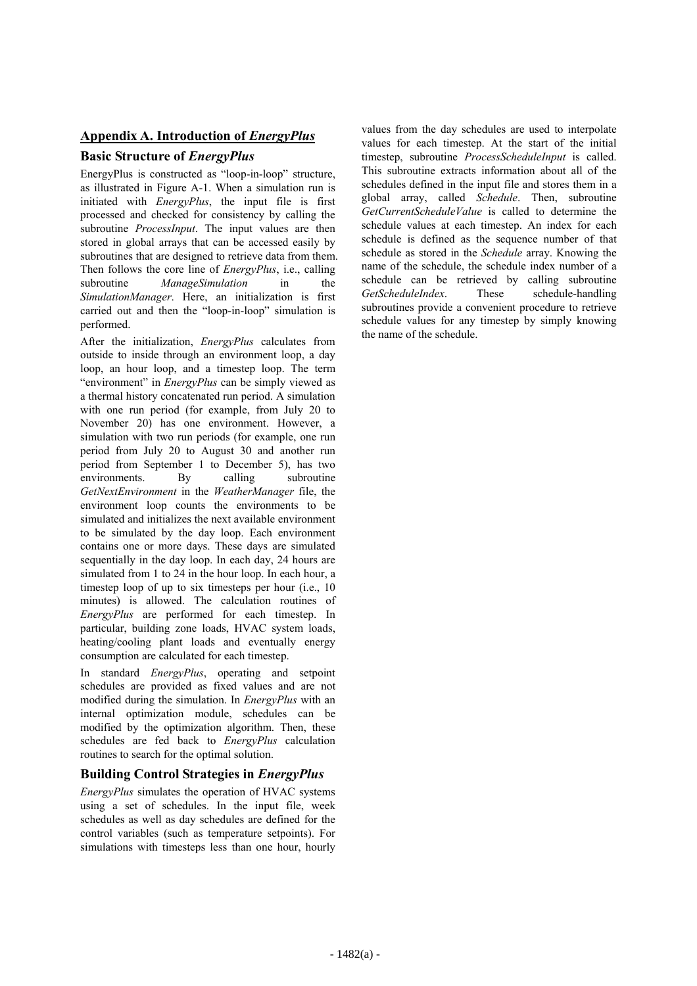## **Appendix A. Introduction of** *EnergyPlus*

### **Basic Structure of** *EnergyPlus*

EnergyPlus is constructed as "loop-in-loop" structure, as illustrated in Figure A-1. When a simulation run is initiated with *EnergyPlus*, the input file is first processed and checked for consistency by calling the subroutine *ProcessInput*. The input values are then stored in global arrays that can be accessed easily by subroutines that are designed to retrieve data from them. Then follows the core line of *EnergyPlus*, i.e., calling subroutine *ManageSimulation* in the *SimulationManager*. Here, an initialization is first carried out and then the "loop-in-loop" simulation is performed.

After the initialization, *EnergyPlus* calculates from outside to inside through an environment loop, a day loop, an hour loop, and a timestep loop. The term "environment" in *EnergyPlus* can be simply viewed as a thermal history concatenated run period. A simulation with one run period (for example, from July 20 to November 20) has one environment. However, a simulation with two run periods (for example, one run period from July 20 to August 30 and another run period from September 1 to December 5), has two environments. By calling subroutine *GetNextEnvironment* in the *WeatherManager* file, the environment loop counts the environments to be simulated and initializes the next available environment to be simulated by the day loop. Each environment contains one or more days. These days are simulated sequentially in the day loop. In each day, 24 hours are simulated from 1 to 24 in the hour loop. In each hour, a timestep loop of up to six timesteps per hour (i.e., 10) minutes) is allowed. The calculation routines of *EnergyPlus* are performed for each timestep. In particular, building zone loads, HVAC system loads, heating/cooling plant loads and eventually energy consumption are calculated for each timestep.

In standard *EnergyPlus*, operating and setpoint schedules are provided as fixed values and are not modified during the simulation. In *EnergyPlus* with an internal optimization module, schedules can be modified by the optimization algorithm. Then, these schedules are fed back to *EnergyPlus* calculation routines to search for the optimal solution.

### **Building Control Strategies in** *EnergyPlus*

*EnergyPlus* simulates the operation of HVAC systems using a set of schedules. In the input file, week schedules as well as day schedules are defined for the control variables (such as temperature setpoints). For simulations with timesteps less than one hour, hourly

values from the day schedules are used to interpolate values for each timestep. At the start of the initial timestep, subroutine *ProcessScheduleInput* is called. This subroutine extracts information about all of the schedules defined in the input file and stores them in a global array, called *Schedule*. Then, subroutine *GetCurrentScheduleValue* is called to determine the schedule values at each timestep. An index for each schedule is defined as the sequence number of that schedule as stored in the *Schedule* array. Knowing the name of the schedule, the schedule index number of a schedule can be retrieved by calling subroutine *GetScheduleIndex*. These schedule-handling subroutines provide a convenient procedure to retrieve schedule values for any timestep by simply knowing the name of the schedule.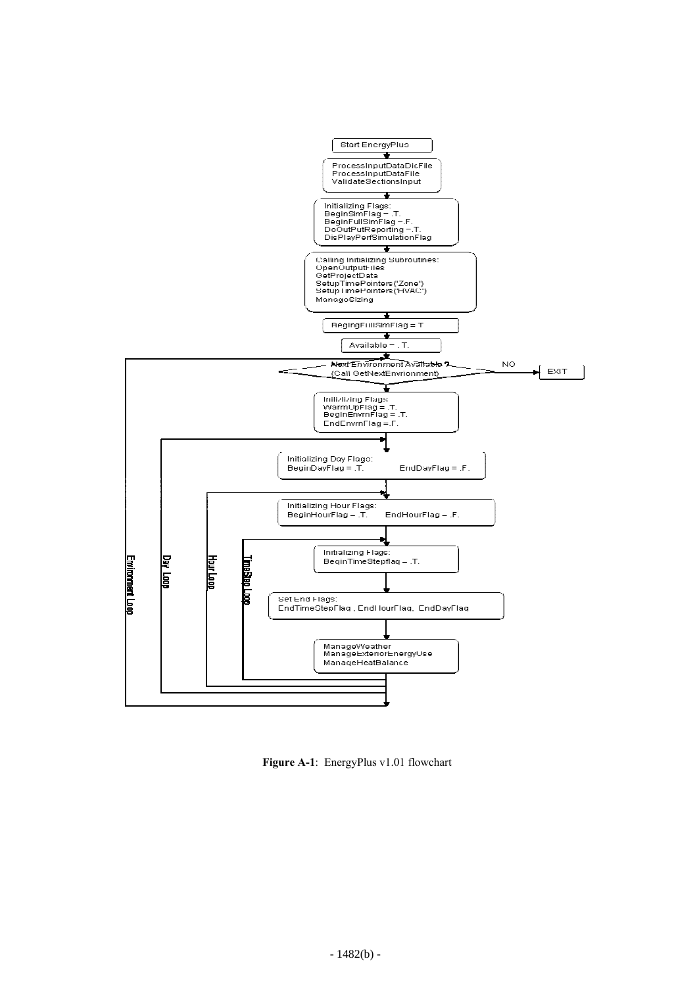

 **Figure A-1**: EnergyPlus v1.01 flowchart